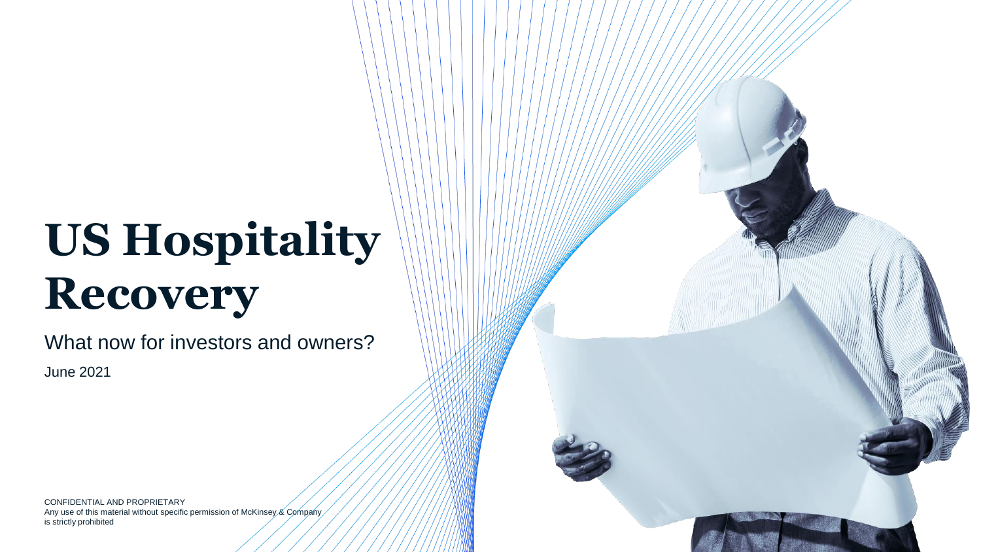# **US Hospitality Recovery**

What now for investors and owners?

June 2021

CONFIDENTIAL AND PROPRIETARY Any use of this material without specific permission of McKinsey & Company is strictly prohibited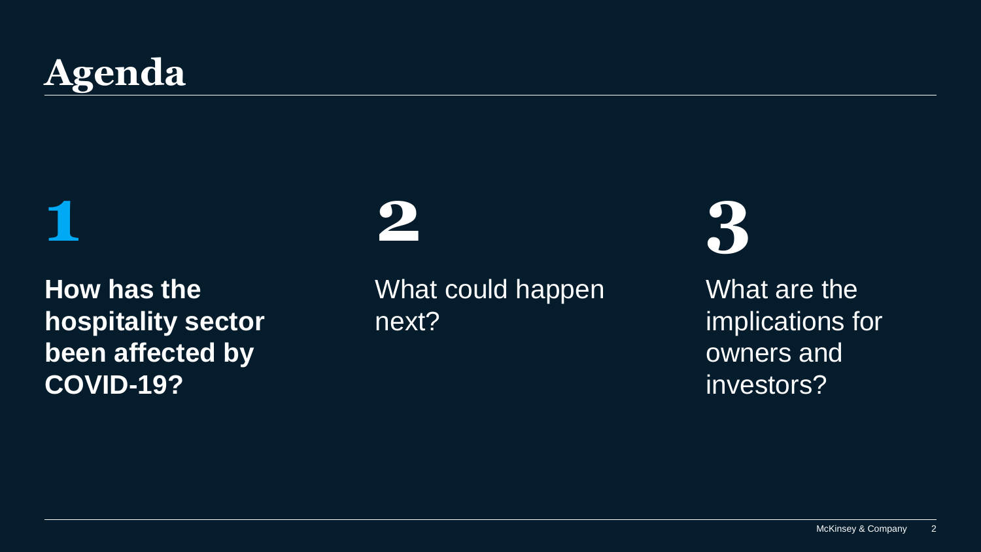# **Agenda**

**1**

**How has the hospitality sector been affected by COVID-19?** 

# **2**

What could happen next?

**3**

What are the implications for owners and investors?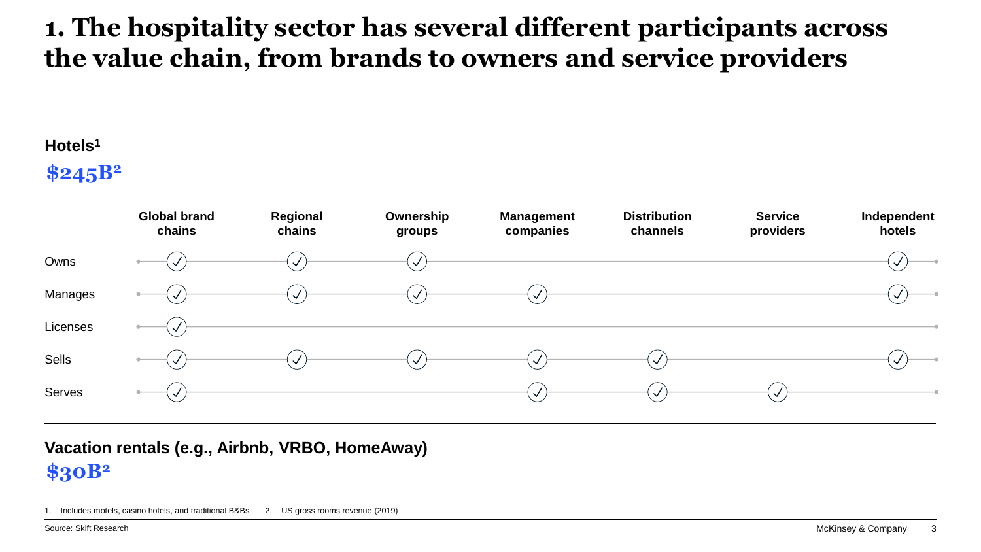#### **1. The hospitality sector has several different participants across the value chain, from brands to owners and service providers**

#### **Hotels<sup>1</sup>**

**\$245B<sup>2</sup>**



**\$30B<sup>2</sup> Vacation rentals (e.g., Airbnb, VRBO, HomeAway)**

1. Includes motels, casino hotels, and traditional B&Bs 2. US gross rooms revenue (2019)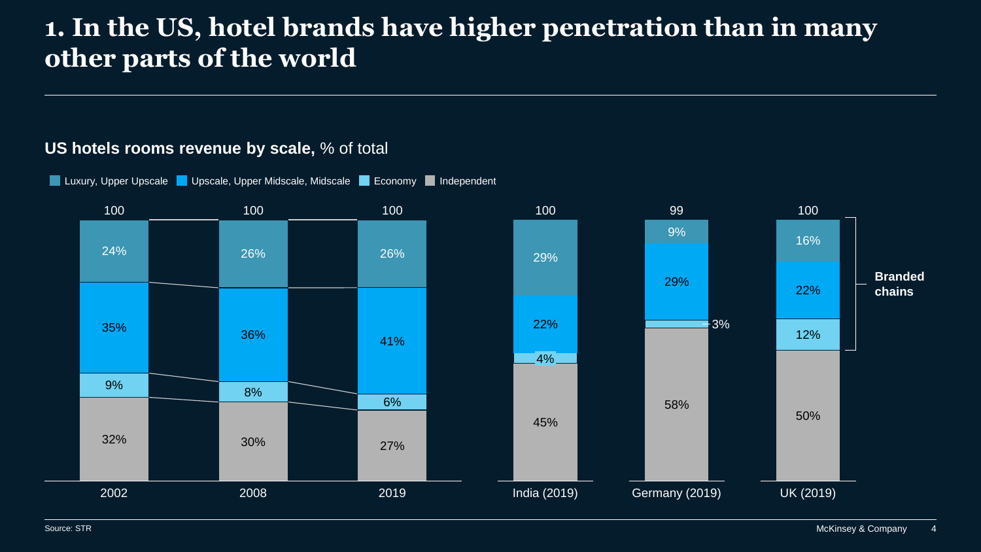#### **1. In the US, hotel brands have higher penetration than in many other parts of the world**

#### 32% 30% 27% 9% 8% 6% 35% 36% 41% 24% 26% 26% 2002 2008 2019 100 100 100 50% 12% 22% 16% UK (2019) 100 58%  $\overline{\textbf{1}}$ 3% 29% 9% Germany (2019) 99 45% 22% 29% 100 4% India (2019) **Branded chains**

#### **US hotels rooms revenue by scale,** % of total

**Luxury, Upper Upscale Contract Upscale, Upper Midscale, Midscale Contract Contract Independent** 

Source: STR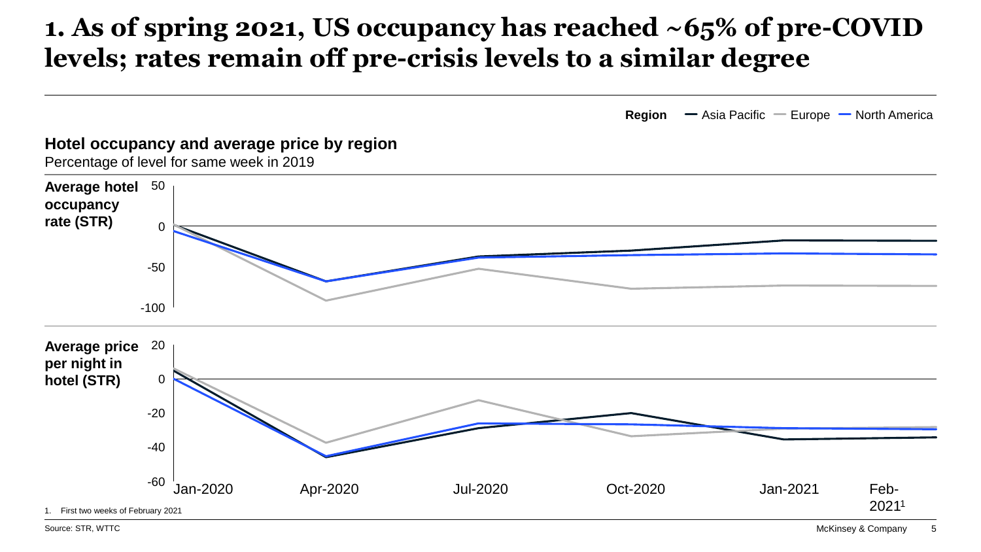#### **1. As of spring 2021, US occupancy has reached ~65% of pre-COVID levels; rates remain off pre-crisis levels to a similar degree**



#### **Hotel occupancy and average price by region** Percentage of level for same week in 2019 Jan-2020 Oct-2020 -100 -50  $\Omega$ **Average hotel** 50 **occupancy rate (STR)** 0 -60 20 -40 -20 **Average price per night in hotel (STR)** Apr-2020 Jul-2020 Feb-2021<sup>1</sup> Jan-2021 1. First two weeks of February 2021

Source: STR, WTTC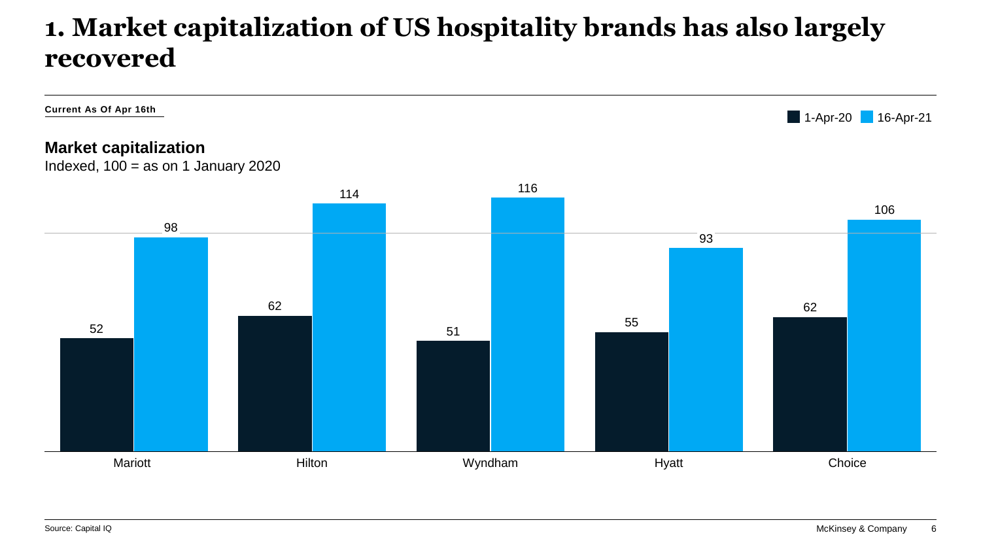#### **1. Market capitalization of US hospitality brands has also largely recovered**

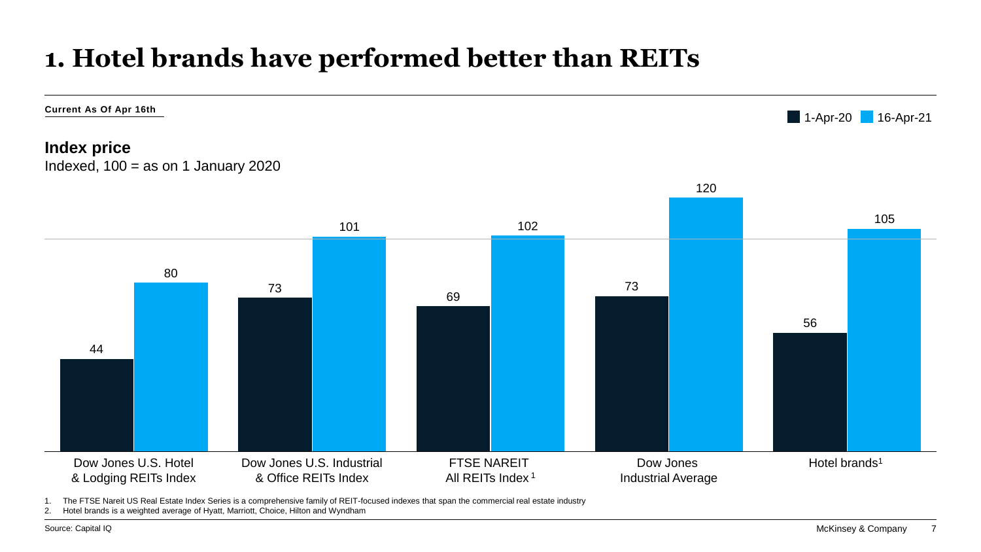## **1. Hotel brands have performed better than REITs**



1. The FTSE Nareit US Real Estate Index Series is a comprehensive family of REIT-focused indexes that span the commercial real estate industry

2. Hotel brands is a weighted average of Hyatt, Marriott, Choice, Hilton and Wyndham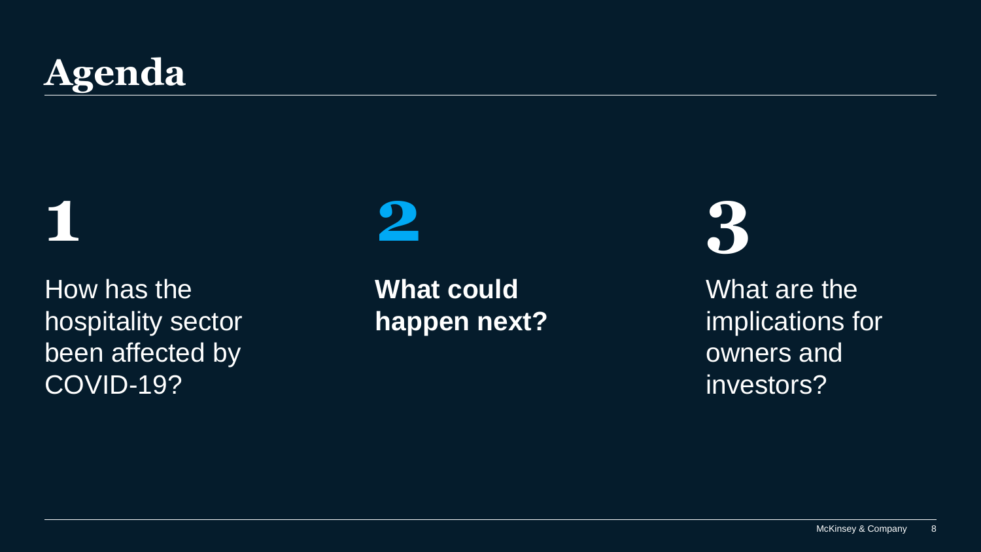# **Agenda**

**1**

How has the hospitality sector been affected by COVID-19?

# **2**

**What could happen next?**  **3**

What are the implications for owners and investors?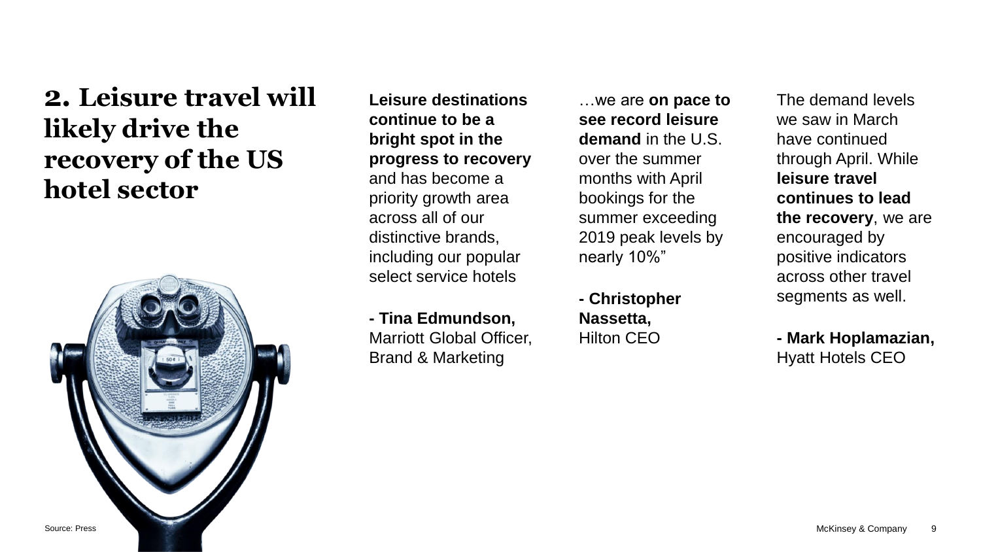### **2. Leisure travel will likely drive the recovery of the US hotel sector**



**Leisure destinations continue to be a bright spot in the progress to recovery**  and has become a priority growth area across all of our distinctive brands, including our popular select service hotels

**- Tina Edmundson,**  Marriott Global Officer, Brand & Marketing

…we are **on pace to see record leisure demand** in the U.S. over the summer months with April bookings for the summer exceeding 2019 peak levels by nearly 10%"

**- Christopher Nassetta,**  Hilton CEO

The demand levels we saw in March have continued through April. While **leisure travel continues to lead the recovery**, we are encouraged by positive indicators across other travel segments as well.

**- Mark Hoplamazian,**  Hyatt Hotels CEO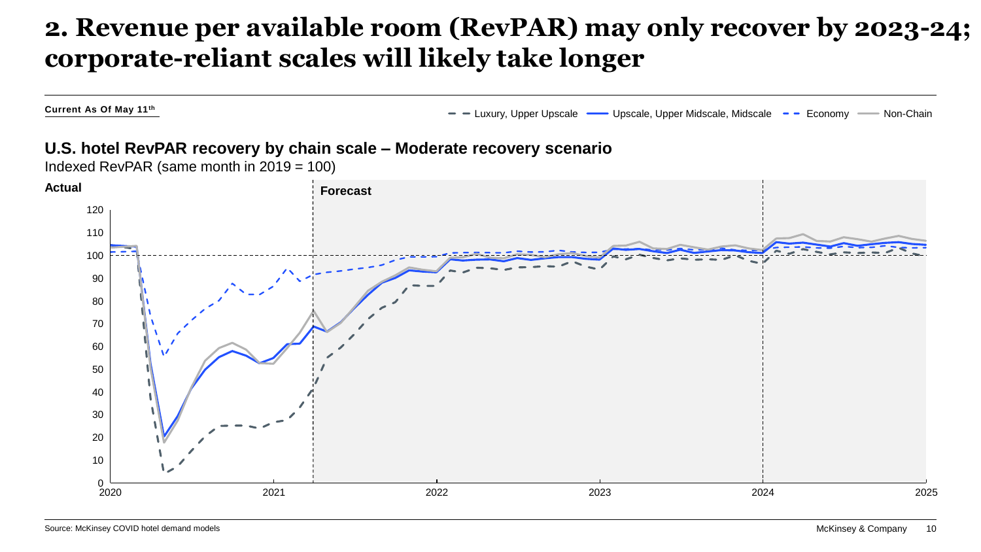#### **2. Revenue per available room (RevPAR) may only recover by 2023-24; corporate-reliant scales will likely take longer**

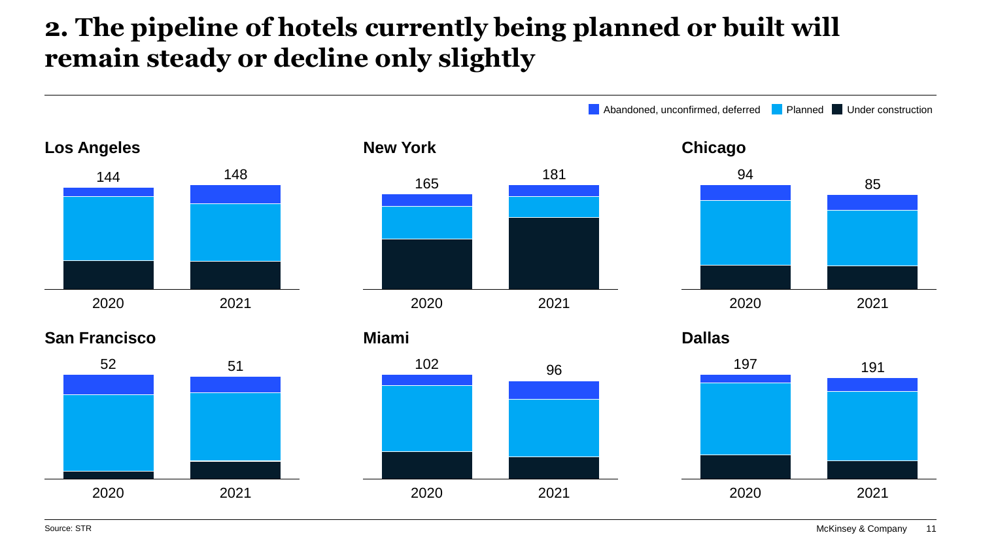## **2. The pipeline of hotels currently being planned or built will remain steady or decline only slightly**

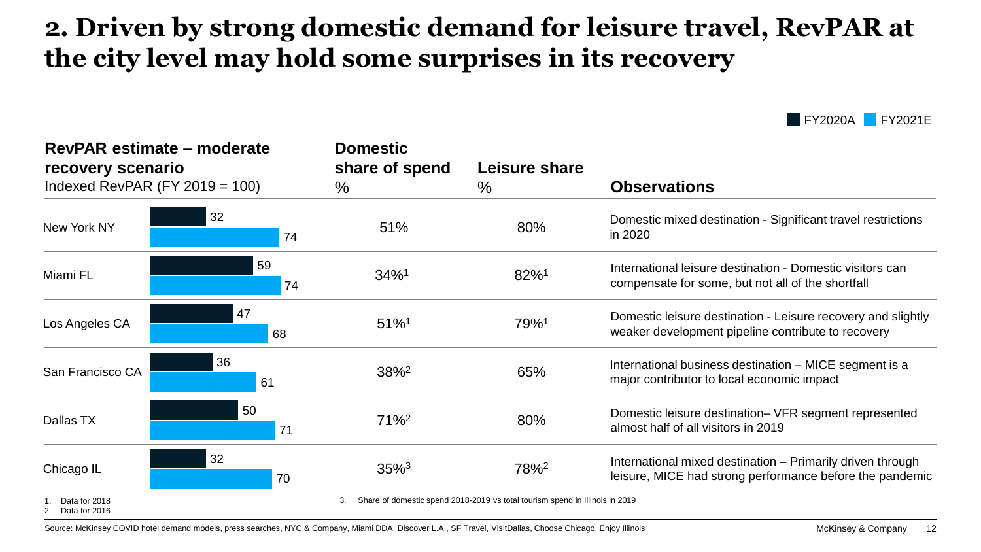### **2. Driven by strong domestic demand for leisure travel, RevPAR at the city level may hold some surprises in its recovery**

**FY2020A** FY2021E

| RevPAR estimate – moderate<br>recovery scenario<br>Indexed RevPAR $(FY 2019 = 100)$ |                                                                              | <b>Domestic</b><br>share of spend<br>$\%$ | Leisure share<br>% | <b>Observations</b>                                                                                                    |
|-------------------------------------------------------------------------------------|------------------------------------------------------------------------------|-------------------------------------------|--------------------|------------------------------------------------------------------------------------------------------------------------|
| New York NY                                                                         | 32<br>74                                                                     | 51%                                       | 80%                | Domestic mixed destination - Significant travel restrictions<br>in 2020                                                |
| Miami FL                                                                            | 59<br>74                                                                     | $34\%$ <sup>1</sup>                       | 82%1               | International leisure destination - Domestic visitors can<br>compensate for some, but not all of the shortfall         |
| Los Angeles CA                                                                      | 47<br>68                                                                     | $51\%$ <sup>1</sup>                       | 79%1               | Domestic leisure destination - Leisure recovery and slightly<br>weaker development pipeline contribute to recovery     |
| San Francisco CA                                                                    | 36<br>61                                                                     | $38\%^2$                                  | 65%                | International business destination - MICE segment is a<br>major contributor to local economic impact                   |
| Dallas TX                                                                           | 50<br>71                                                                     | $71\%$ <sup>2</sup>                       | 80%                | Domestic leisure destination- VFR segment represented<br>almost half of all visitors in 2019                           |
| Chicago IL                                                                          | 32<br>70                                                                     | $35\%$ <sup>3</sup>                       | 78% <sup>2</sup>   | International mixed destination – Primarily driven through<br>leisure, MICE had strong performance before the pandemic |
| Data for 2018<br>Data for 2016                                                      | Share of domestic spend 2018-2019 vs total tourism spend in Illinois in 2019 |                                           |                    |                                                                                                                        |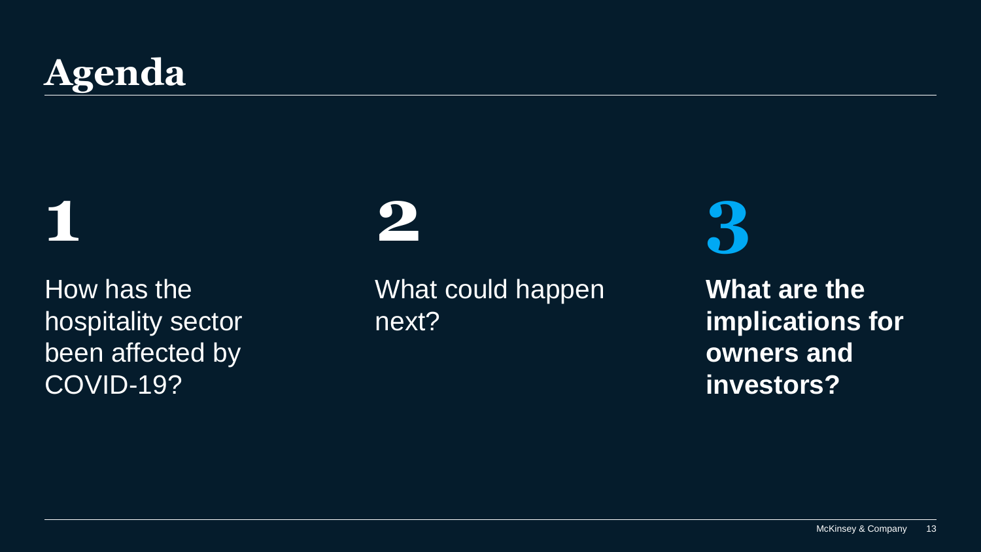# **Agenda**

**1**

How has the hospitality sector been affected by COVID-19?

# **2**

What could happen next?

**3**

**What are the implications for owners and investors?**